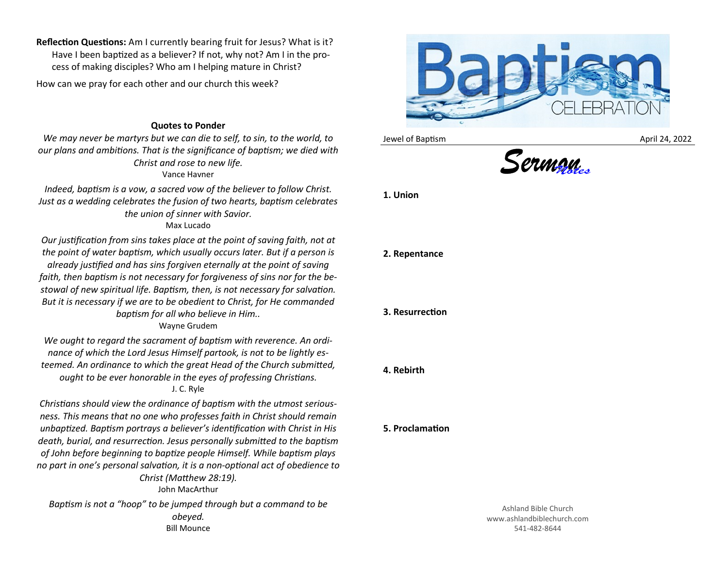**Reflection Questions:** Am I currently bearing fruit for Jesus? What is it? Have I been baptized as a believer? If not, why not? Am I in the process of making disciples? Who am I helping mature in Christ?

How can we pray for each other and our church this week?

## **Quotes to Ponder**

*We may never be martyrs but we can die to self, to sin, to the world, to our plans and ambitions. That is the significance of baptism; we died with Christ and rose to new life.* Vance Havner

*Indeed, baptism is a vow, a sacred vow of the believer to follow Christ. Just as a wedding celebrates the fusion of two hearts, baptism celebrates the union of sinner with Savior.* Max Lucado

*Our justification from sins takes place at the point of saving faith, not at the point of water baptism, which usually occurs later. But if a person is already justified and has sins forgiven eternally at the point of saving faith, then baptism is not necessary for forgiveness of sins nor for the bestowal of new spiritual life. Baptism, then, is not necessary for salvation. But it is necessary if we are to be obedient to Christ, for He commanded baptism for all who believe in Him..*

Wayne Grudem

*We ought to regard the sacrament of baptism with reverence. An ordinance of which the Lord Jesus Himself partook, is not to be lightly esteemed. An ordinance to which the great Head of the Church submitted, ought to be ever honorable in the eyes of professing Christians.* J. C. Ryle

*Christians should view the ordinance of baptism with the utmost seriousness. This means that no one who professes faith in Christ should remain unbaptized. Baptism portrays a believer's identification with Christ in His death, burial, and resurrection. Jesus personally submitted to the baptism of John before beginning to baptize people Himself. While baptism plays no part in one's personal salvation, it is a non-optional act of obedience to Christ (Matthew 28:19).*

John MacArthur

*Baptism is not a "hoop" to be jumped through but a command to be obeyed.* Bill Mounce



Jewel of Baptism **April 24, 2022** 





**1. Union**

## **2. Repentance**

## **3. Resurrection**

## **4. Rebirth**

**5. Proclamation**

Ashland Bible Church www.ashlandbiblechurch.com 541-482-8644